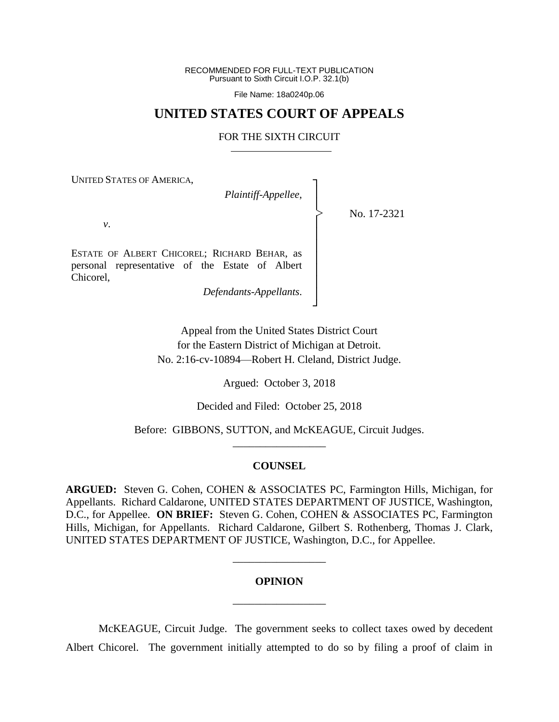RECOMMENDED FOR FULL-TEXT PUBLICATION Pursuant to Sixth Circuit I.O.P. 32.1(b)

File Name: 18a0240p.06

## **UNITED STATES COURT OF APPEALS**

### FOR THE SIXTH CIRCUIT

┐ │ │ │ │ │ │ │ │ │ ┘

|<br>|<br>|

UNITED STATES OF AMERICA,

*Plaintiff-Appellee*,

No. 17-2321

*v*.

ESTATE OF ALBERT CHICOREL; RICHARD BEHAR, as personal representative of the Estate of Albert Chicorel,

*Defendants-Appellants*.

Appeal from the United States District Court for the Eastern District of Michigan at Detroit. No. 2:16-cv-10894—Robert H. Cleland, District Judge.

Argued: October 3, 2018

Decided and Filed: October 25, 2018

Before: GIBBONS, SUTTON, and McKEAGUE, Circuit Judges. \_\_\_\_\_\_\_\_\_\_\_\_\_\_\_\_\_

### **COUNSEL**

**ARGUED:** Steven G. Cohen, COHEN & ASSOCIATES PC, Farmington Hills, Michigan, for Appellants. Richard Caldarone, UNITED STATES DEPARTMENT OF JUSTICE, Washington, D.C., for Appellee. **ON BRIEF:** Steven G. Cohen, COHEN & ASSOCIATES PC, Farmington Hills, Michigan, for Appellants. Richard Caldarone, Gilbert S. Rothenberg, Thomas J. Clark, UNITED STATES DEPARTMENT OF JUSTICE, Washington, D.C., for Appellee.

# **OPINION** \_\_\_\_\_\_\_\_\_\_\_\_\_\_\_\_\_

\_\_\_\_\_\_\_\_\_\_\_\_\_\_\_\_\_

McKEAGUE, Circuit Judge. The government seeks to collect taxes owed by decedent Albert Chicorel. The government initially attempted to do so by filing a proof of claim in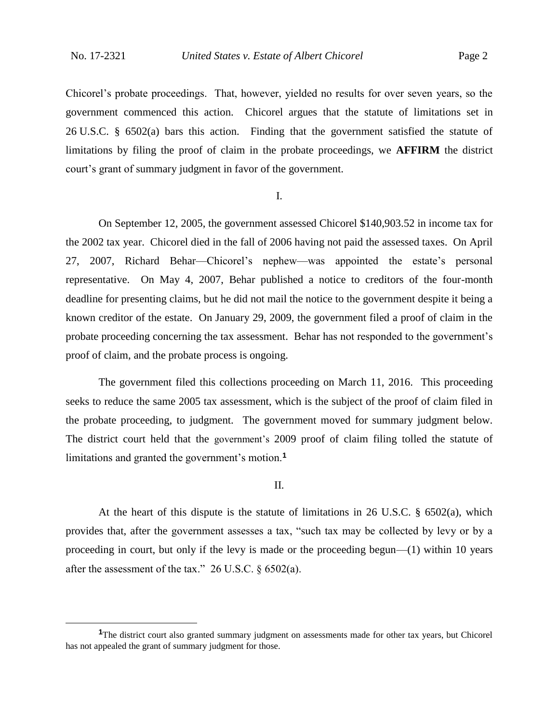$\overline{a}$ 

Chicorel's probate proceedings. That, however, yielded no results for over seven years, so the government commenced this action. Chicorel argues that the statute of limitations set in 26 U.S.C. § 6502(a) bars this action. Finding that the government satisfied the statute of limitations by filing the proof of claim in the probate proceedings, we **AFFIRM** the district court's grant of summary judgment in favor of the government.

#### I.

On September 12, 2005, the government assessed Chicorel \$140,903.52 in income tax for the 2002 tax year. Chicorel died in the fall of 2006 having not paid the assessed taxes. On April 27, 2007, Richard Behar—Chicorel's nephew—was appointed the estate's personal representative. On May 4, 2007, Behar published a notice to creditors of the four-month deadline for presenting claims, but he did not mail the notice to the government despite it being a known creditor of the estate. On January 29, 2009, the government filed a proof of claim in the probate proceeding concerning the tax assessment.Behar has not responded to the government's proof of claim, and the probate process is ongoing.

The government filed this collections proceeding on March 11, 2016. This proceeding seeks to reduce the same 2005 tax assessment, which is the subject of the proof of claim filed in the probate proceeding, to judgment. The government moved for summary judgment below. The district court held that the government's 2009 proof of claim filing tolled the statute of limitations and granted the government's motion.**<sup>1</sup>**

### II.

At the heart of this dispute is the statute of limitations in 26 U.S.C.  $\S$  6502(a), which provides that, after the government assesses a tax, "such tax may be collected by levy or by a proceeding in court, but only if the levy is made or the proceeding begun—(1) within 10 years after the assessment of the tax."  $26$  U.S.C.  $\S$  6502(a).

**<sup>1</sup>**The district court also granted summary judgment on assessments made for other tax years, but Chicorel has not appealed the grant of summary judgment for those.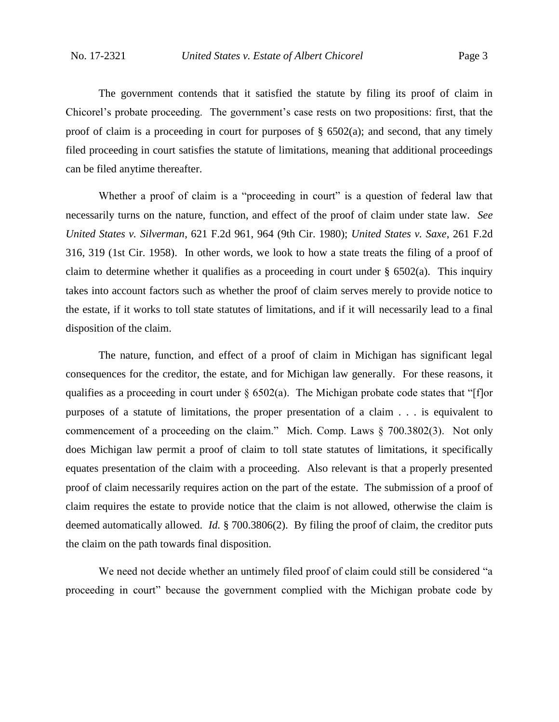The government contends that it satisfied the statute by filing its proof of claim in Chicorel's probate proceeding. The government's case rests on two propositions: first, that the proof of claim is a proceeding in court for purposes of  $\S$  6502(a); and second, that any timely filed proceeding in court satisfies the statute of limitations, meaning that additional proceedings can be filed anytime thereafter.

Whether a proof of claim is a "proceeding in court" is a question of federal law that necessarily turns on the nature, function, and effect of the proof of claim under state law. *See United States v. Silverman*, 621 F.2d 961, 964 (9th Cir. 1980); *United States v. Saxe*, 261 F.2d 316, 319 (1st Cir. 1958). In other words, we look to how a state treats the filing of a proof of claim to determine whether it qualifies as a proceeding in court under  $\S$  6502(a). This inquiry takes into account factors such as whether the proof of claim serves merely to provide notice to the estate, if it works to toll state statutes of limitations, and if it will necessarily lead to a final disposition of the claim.

The nature, function, and effect of a proof of claim in Michigan has significant legal consequences for the creditor, the estate, and for Michigan law generally. For these reasons, it qualifies as a proceeding in court under  $\S 6502(a)$ . The Michigan probate code states that "[f]or purposes of a statute of limitations, the proper presentation of a claim . . . is equivalent to commencement of a proceeding on the claim." Mich. Comp. Laws § 700.3802(3). Not only does Michigan law permit a proof of claim to toll state statutes of limitations, it specifically equates presentation of the claim with a proceeding. Also relevant is that a properly presented proof of claim necessarily requires action on the part of the estate. The submission of a proof of claim requires the estate to provide notice that the claim is not allowed, otherwise the claim is deemed automatically allowed. *Id.* § 700.3806(2). By filing the proof of claim, the creditor puts the claim on the path towards final disposition.

We need not decide whether an untimely filed proof of claim could still be considered "a proceeding in court" because the government complied with the Michigan probate code by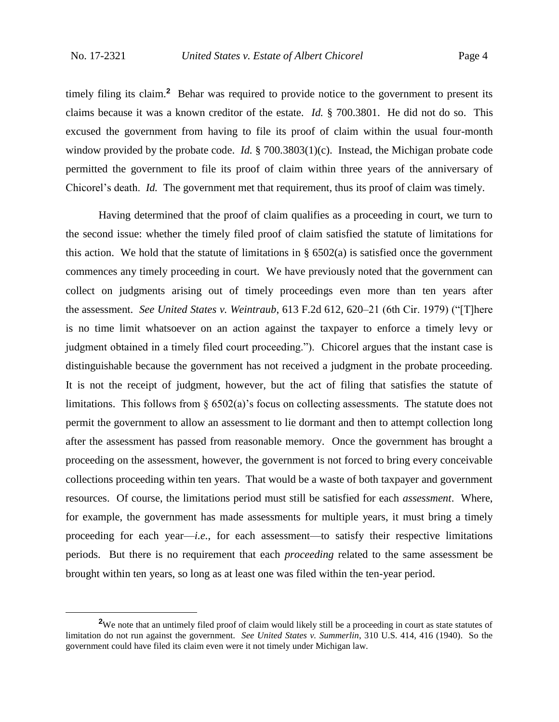$\overline{a}$ 

timely filing its claim.**<sup>2</sup>** Behar was required to provide notice to the government to present its claims because it was a known creditor of the estate. *Id.* § 700.3801. He did not do so.This excused the government from having to file its proof of claim within the usual four-month window provided by the probate code. *Id.* § 700.3803(1)(c). Instead, the Michigan probate code permitted the government to file its proof of claim within three years of the anniversary of Chicorel's death. *Id.* The government met that requirement, thus its proof of claim was timely.

Having determined that the proof of claim qualifies as a proceeding in court, we turn to the second issue: whether the timely filed proof of claim satisfied the statute of limitations for this action. We hold that the statute of limitations in § 6502(a) is satisfied once the government commences any timely proceeding in court. We have previously noted that the government can collect on judgments arising out of timely proceedings even more than ten years after the assessment. *See United States v. Weintraub*, 613 F.2d 612, 620–21 (6th Cir. 1979) ("[T]here is no time limit whatsoever on an action against the taxpayer to enforce a timely levy or judgment obtained in a timely filed court proceeding."). Chicorel argues that the instant case is distinguishable because the government has not received a judgment in the probate proceeding. It is not the receipt of judgment, however, but the act of filing that satisfies the statute of limitations. This follows from  $\S 6502(a)$ 's focus on collecting assessments. The statute does not permit the government to allow an assessment to lie dormant and then to attempt collection long after the assessment has passed from reasonable memory. Once the government has brought a proceeding on the assessment, however, the government is not forced to bring every conceivable collections proceeding within ten years. That would be a waste of both taxpayer and government resources. Of course, the limitations period must still be satisfied for each *assessment*. Where, for example, the government has made assessments for multiple years, it must bring a timely proceeding for each year—*i.e.*, for each assessment—to satisfy their respective limitations periods. But there is no requirement that each *proceeding* related to the same assessment be brought within ten years, so long as at least one was filed within the ten-year period.

<sup>&</sup>lt;sup>2</sup>We note that an untimely filed proof of claim would likely still be a proceeding in court as state statutes of limitation do not run against the government. *See United States v. Summerlin*, 310 U.S. 414, 416 (1940). So the government could have filed its claim even were it not timely under Michigan law.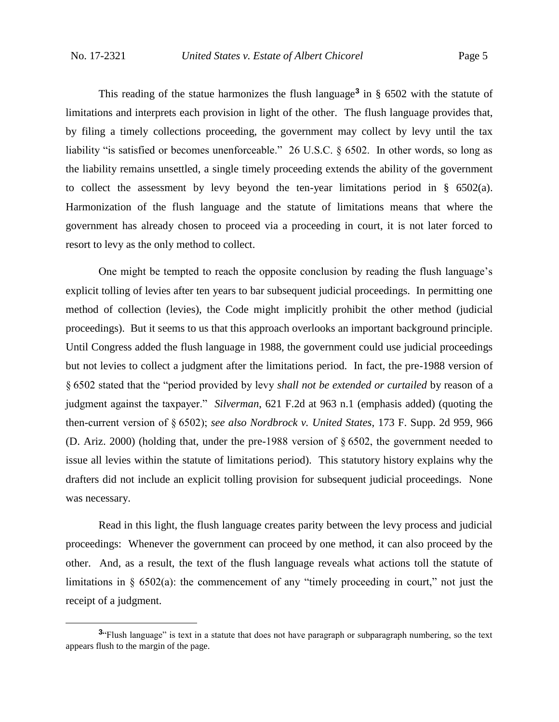$\overline{a}$ 

This reading of the statue harmonizes the flush language**<sup>3</sup>** in § 6502 with the statute of limitations and interprets each provision in light of the other. The flush language provides that, by filing a timely collections proceeding, the government may collect by levy until the tax liability "is satisfied or becomes unenforceable." 26 U.S.C. § 6502. In other words, so long as the liability remains unsettled, a single timely proceeding extends the ability of the government to collect the assessment by levy beyond the ten-year limitations period in § 6502(a). Harmonization of the flush language and the statute of limitations means that where the government has already chosen to proceed via a proceeding in court, it is not later forced to resort to levy as the only method to collect.

One might be tempted to reach the opposite conclusion by reading the flush language's explicit tolling of levies after ten years to bar subsequent judicial proceedings. In permitting one method of collection (levies), the Code might implicitly prohibit the other method (judicial proceedings). But it seems to us that this approach overlooks an important background principle. Until Congress added the flush language in 1988, the government could use judicial proceedings but not levies to collect a judgment after the limitations period. In fact, the pre-1988 version of § 6502 stated that the "period provided by levy *shall not be extended or curtailed* by reason of a judgment against the taxpayer." *Silverman*, 621 F.2d at 963 n.1 (emphasis added) (quoting the then-current version of § 6502); *see also Nordbrock v. United States*, 173 F. Supp. 2d 959, 966 (D. Ariz. 2000) (holding that, under the pre-1988 version of § 6502, the government needed to issue all levies within the statute of limitations period). This statutory history explains why the drafters did not include an explicit tolling provision for subsequent judicial proceedings. None was necessary.

Read in this light, the flush language creates parity between the levy process and judicial proceedings: Whenever the government can proceed by one method, it can also proceed by the other. And, as a result, the text of the flush language reveals what actions toll the statute of limitations in § 6502(a): the commencement of any "timely proceeding in court," not just the receipt of a judgment.

**<sup>3</sup>** "Flush language" is text in a statute that does not have paragraph or subparagraph numbering, so the text appears flush to the margin of the page.